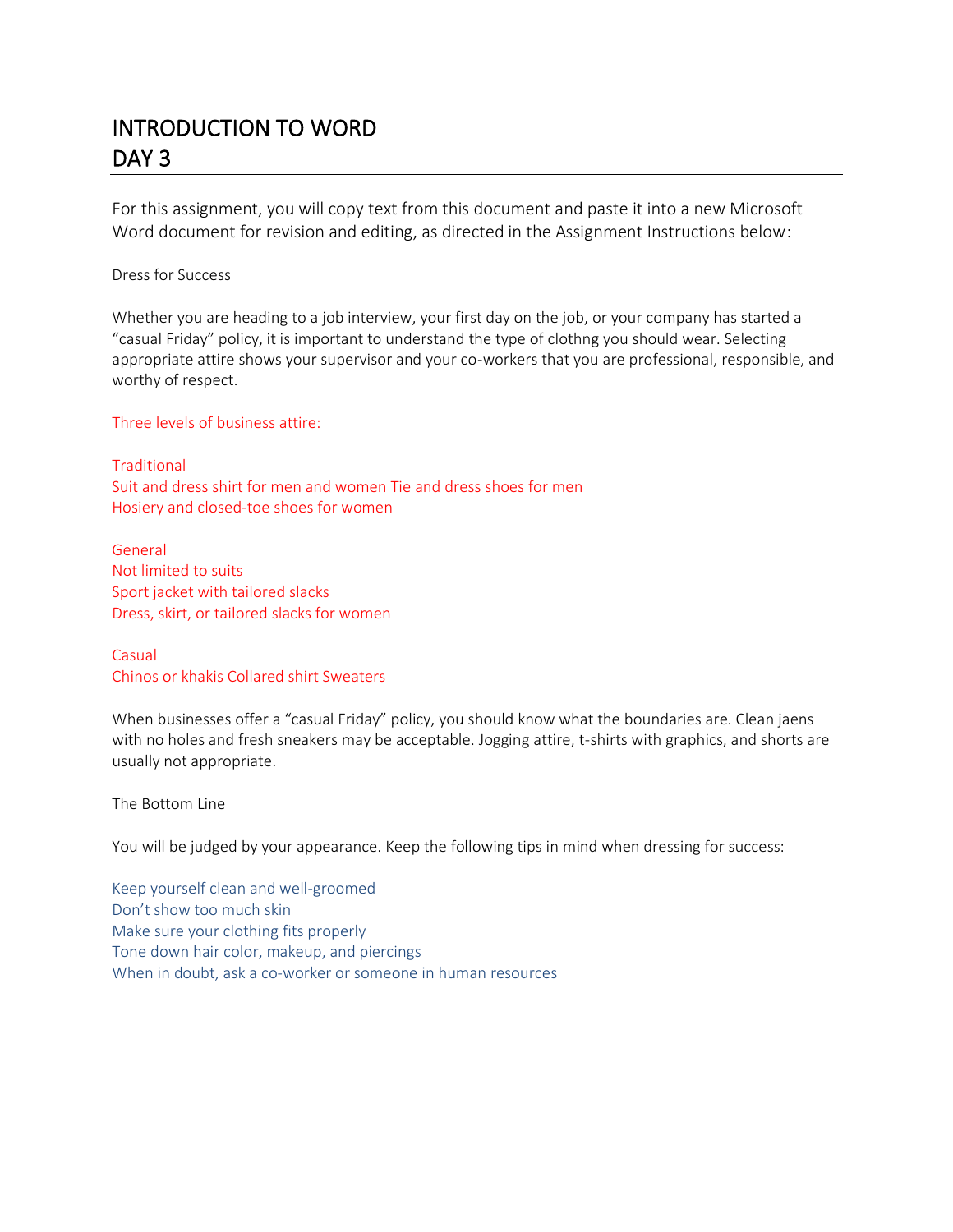## INTRODUCTION TO WORD DAY<sub>3</sub>

For this assignment, you will copy text from this document and paste it into a new Microsoft Word document for revision and editing, as directed in the Assignment Instructions below:

Dress for Success

Whether you are heading to a job interview, your first day on the job, or your company has started a "casual Friday" policy, it is important to understand the type of clothng you should wear. Selecting appropriate attire shows your supervisor and your co-workers that you are professional, responsible, and worthy of respect.

Three levels of business attire:

**Traditional** Suit and dress shirt for men and women Tie and dress shoes for men Hosiery and closed-toe shoes for women

General Not limited to suits Sport jacket with tailored slacks Dress, skirt, or tailored slacks for women

Casual Chinos or khakis Collared shirt Sweaters

When businesses offer a "casual Friday" policy, you should know what the boundaries are. Clean jaens with no holes and fresh sneakers may be acceptable. Jogging attire, t-shirts with graphics, and shorts are usually not appropriate.

The Bottom Line

You will be judged by your appearance. Keep the following tips in mind when dressing for success:

Keep yourself clean and well-groomed Don't show too much skin Make sure your clothing fits properly Tone down hair color, makeup, and piercings When in doubt, ask a co-worker or someone in human resources